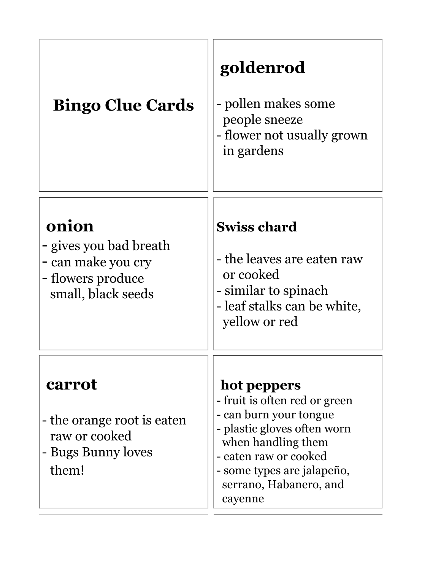| <b>Bingo Clue Cards</b>                                                                          | goldenrod<br>- pollen makes some<br>people sneeze<br>- flower not usually grown<br>in gardens                                                                                                                           |
|--------------------------------------------------------------------------------------------------|-------------------------------------------------------------------------------------------------------------------------------------------------------------------------------------------------------------------------|
| onion<br>- gives you bad breath<br>- can make you cry<br>- flowers produce<br>small, black seeds | <b>Swiss chard</b><br>- the leaves are eaten raw<br>or cooked<br>- similar to spinach<br>- leaf stalks can be white,<br>yellow or red                                                                                   |
| carrot<br>- the orange root is eaten<br>raw or cooked<br>- Bugs Bunny loves<br>them!             | hot peppers<br>- fruit is often red or green<br>- can burn your tongue<br>- plastic gloves often worn<br>when handling them<br>- eaten raw or cooked<br>- some types are jalapeño,<br>serrano, Habanero, and<br>cayenne |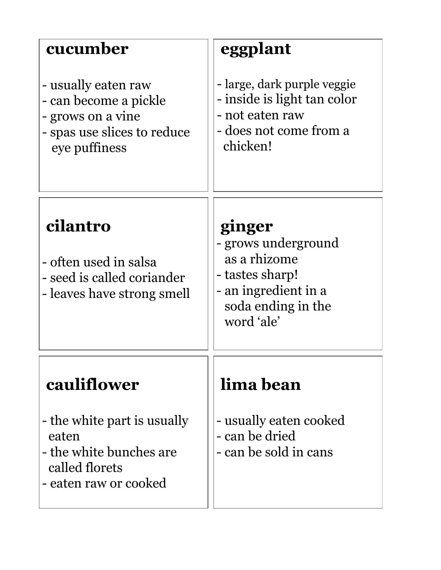| cucumber                                                                                                                  | eggplant                                                                                                                     |
|---------------------------------------------------------------------------------------------------------------------------|------------------------------------------------------------------------------------------------------------------------------|
| - usually eaten raw<br>- can become a pickle<br>- grows on a vine<br>- spas use slices to reduce<br>eye puffiness         | - large, dark purple veggie<br>- inside is light tan color<br>- not eaten raw<br>- does not come from a<br>chicken!          |
| cilantro<br>- often used in salsa<br>- seed is called coriander<br>- leaves have strong smell                             | ginger<br>- grows underground<br>as a rhizome<br>- tastes sharp!<br>- an ingredient in a<br>soda ending in the<br>word 'ale' |
| cauliflower<br>- the white part is usually<br>eaten<br>- the white bunches are<br>called florets<br>- eaten raw or cooked | lima bean<br>- usually eaten cooked<br>- can be dried<br>- can be sold in cans                                               |